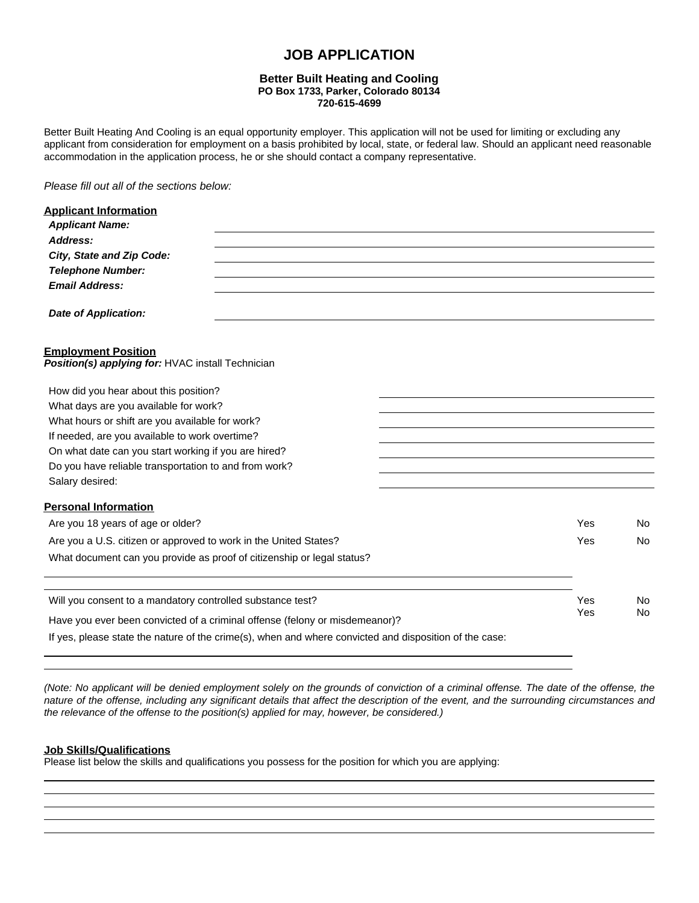# **JOB APPLICATION**

## **Better Built Heating and Cooling PO Box 1733, Parker, Colorado 80134 720-615-4699**

Better Built Heating And Cooling is an equal opportunity employer. This application will not be used for limiting or excluding any applicant from consideration for employment on a basis prohibited by local, state, or federal law. Should an applicant need reasonable accommodation in the application process, he or she should contact a company representative.

*Please fill out all of the sections below:*

| <b>Applicant Information</b>                                                                           |     |                |
|--------------------------------------------------------------------------------------------------------|-----|----------------|
| <b>Applicant Name:</b>                                                                                 |     |                |
| Address:                                                                                               |     |                |
| City, State and Zip Code:                                                                              |     |                |
| <b>Telephone Number:</b>                                                                               |     |                |
| <b>Email Address:</b>                                                                                  |     |                |
| Date of Application:                                                                                   |     |                |
| <b>Employment Position</b><br>Position(s) applying for: HVAC install Technician                        |     |                |
| How did you hear about this position?                                                                  |     |                |
| What days are you available for work?                                                                  |     |                |
| What hours or shift are you available for work?                                                        |     |                |
| If needed, are you available to work overtime?                                                         |     |                |
| On what date can you start working if you are hired?                                                   |     |                |
| Do you have reliable transportation to and from work?                                                  |     |                |
| Salary desired:                                                                                        |     |                |
| <b>Personal Information</b>                                                                            |     |                |
| Are you 18 years of age or older?                                                                      | Yes | N <sub>0</sub> |
| Are you a U.S. citizen or approved to work in the United States?                                       | Yes | No.            |
| What document can you provide as proof of citizenship or legal status?                                 |     |                |
|                                                                                                        |     |                |
| Will you consent to a mandatory controlled substance test?                                             | Yes | No.            |
| Have you ever been convicted of a criminal offense (felony or misdemeanor)?                            | Yes | No             |
| If yes, please state the nature of the crime(s), when and where convicted and disposition of the case: |     |                |

*(Note: No applicant will be denied employment solely on the grounds of conviction of a criminal offense. The date of the offense, the nature of the offense, including any significant details that affect the description of the event, and the surrounding circumstances and the relevance of the offense to the position(s) applied for may, however, be considered.)*

## **Job Skills/Qualifications**

Please list below the skills and qualifications you possess for the position for which you are applying: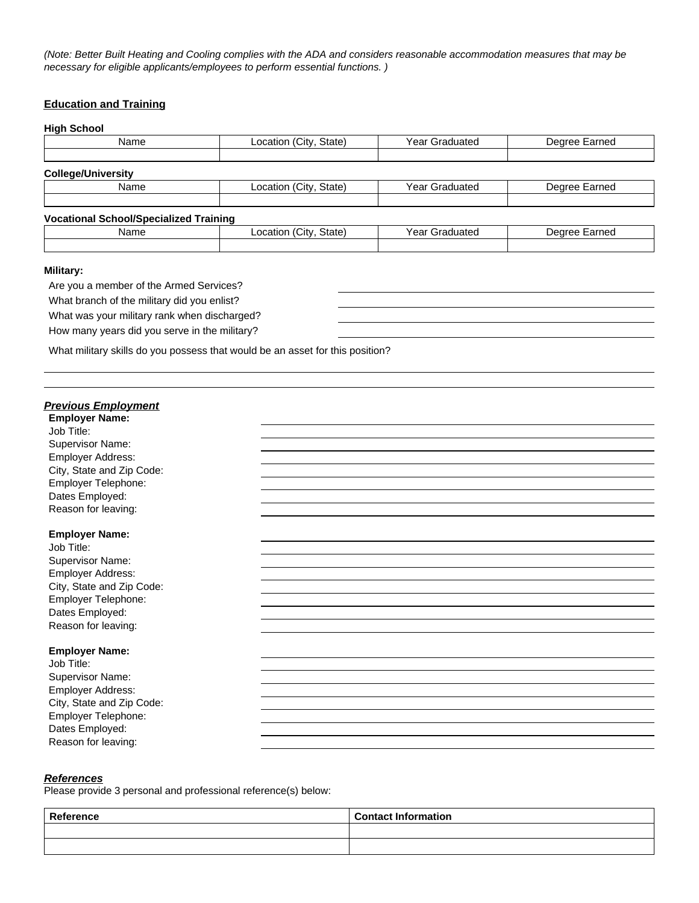*(Note: Better Built Heating and Cooling complies with the ADA and considers reasonable accommodation measures that may be necessary for eligible applicants/employees to perform essential functions. )*

## **Education and Training**

#### **High School**

| Name                      | Location (City, State) | Year Graduated | Degree Earned |
|---------------------------|------------------------|----------------|---------------|
|                           |                        |                |               |
| <b>College/University</b> |                        |                |               |
| Name                      | Location (City, State) | Year Graduated | Degree Earned |
|                           |                        |                |               |

### **Vocational School/Specialized Training**

| Name | .<br>State)<br>. Citv<br>∟ocation | Year<br>3raduatec<br>ыа | ∶arned<br>Dearee |
|------|-----------------------------------|-------------------------|------------------|
|      |                                   |                         |                  |

#### **Military:**

Are you a member of the Armed Services? What branch of the military did you enlist? What was your military rank when discharged?

How many years did you serve in the military?

What military skills do you possess that would be an asset for this position?

# *Previous Employment* **Employer Name:** Job Title: Supervisor Name: Employer Address: City, State and Zip Code: Employer Telephone: Dates Employed: Reason for leaving: **Employer Name:** Job Title: Supervisor Name: Employer Address: City, State and Zip Code: Employer Telephone: Dates Employed: Reason for leaving: **Employer Name:** Job Title: Supervisor Name: Employer Address: City, State and Zip Code: Employer Telephone: Dates Employed: Reason for leaving:

#### *References*

Please provide 3 personal and professional reference(s) below:

| Reference | <b>Contact Information</b> |
|-----------|----------------------------|
|           |                            |
|           |                            |